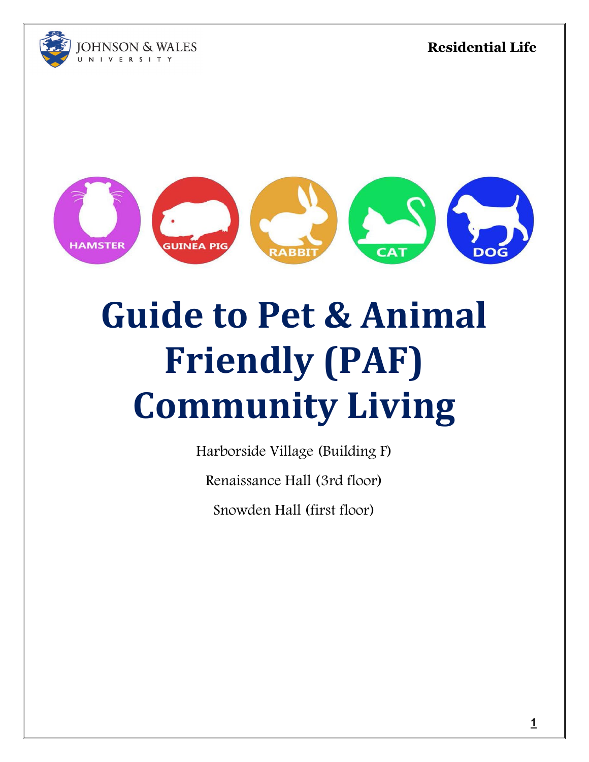**Residential Life**





# **Guide to Pet & Animal Friendly (PAF) Community Living**

Harborside Village (Building F)

Renaissance Hall (3rd floor)

Snowden Hall (first floor)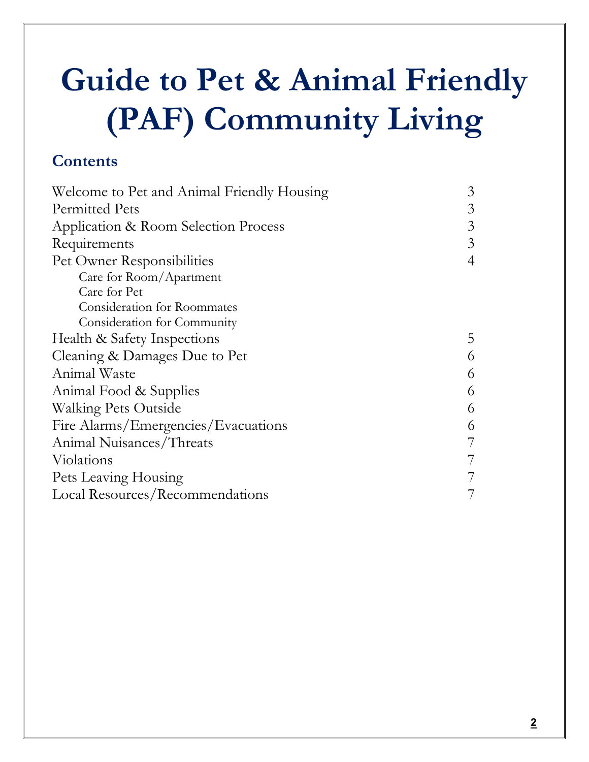## **Guide to Pet & Animal Friendly (PAF) Community Living**

## **Contents**

| Welcome to Pet and Animal Friendly Housing | 3 |
|--------------------------------------------|---|
| <b>Permitted Pets</b>                      | 3 |
| Application & Room Selection Process       | 3 |
| Requirements                               | 3 |
| Pet Owner Responsibilities                 | 4 |
| Care for Room/Apartment                    |   |
| Care for Pet                               |   |
| <b>Consideration for Roommates</b>         |   |
| Consideration for Community                |   |
| Health & Safety Inspections                | 5 |
| Cleaning & Damages Due to Pet              | 6 |
| Animal Waste                               | 6 |
| Animal Food & Supplies                     | 6 |
| <b>Walking Pets Outside</b>                | 6 |
| Fire Alarms/Emergencies/Evacuations        | 6 |
| Animal Nuisances/Threats                   | 7 |
| Violations                                 |   |
| Pets Leaving Housing                       |   |
| Local Resources/Recommendations            | 7 |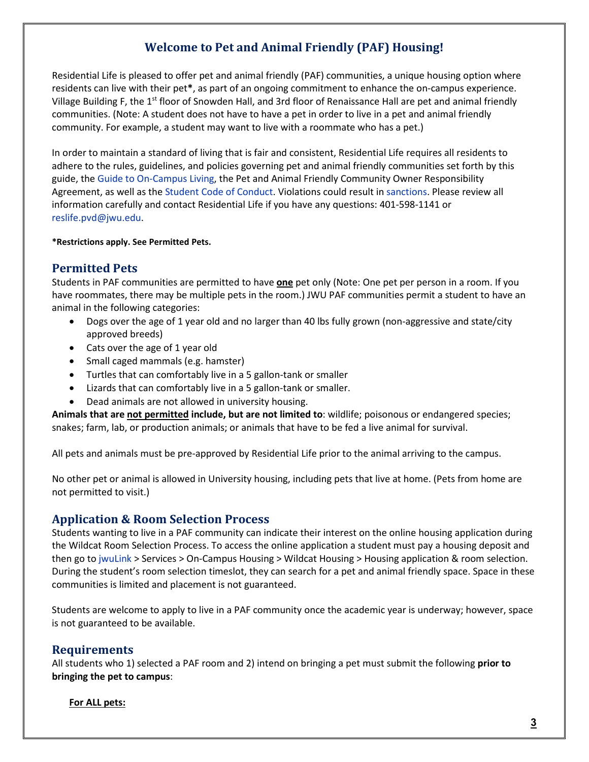## **Welcome to Pet and Animal Friendly (PAF) Housing!**

Residential Life is pleased to offer pet and animal friendly (PAF) communities, a unique housing option where residents can live with their pet**\***, as part of an ongoing commitment to enhance the on-campus experience. Village Building F, the 1<sup>st</sup> floor of Snowden Hall, and 3rd floor of Renaissance Hall are pet and animal friendly communities. (Note: A student does not have to have a pet in order to live in a pet and animal friendly community. For example, a student may want to live with a roommate who has a pet.)

In order to maintain a standard of living that is fair and consistent, Residential Life requires all residents to adhere to the rules, guidelines, and policies governing pet and animal friendly communities set forth by this guide, the [Guide to On-Campus Living,](https://link.jwu.edu/) the Pet and Animal Friendly Community Owner Responsibility Agreement, as well as th[e Student Code of Conduct.](http://catalog.jwu.edu/handbook/studentaffairs/studentcodeofconduct/) Violations could result in [sanctions.](http://catalog.jwu.edu/handbook/studentaffairs/studentcodeofconduct/sanctions/) Please review all information carefully and contact Residential Life if you have any questions: 401-598-1141 or [reslife.pvd@jwu.edu.](mailto:reslife.pvd@jwu.edu)

#### **\*Restrictions apply. See Permitted Pets.**

## **Permitted Pets**

Students in PAF communities are permitted to have **one** pet only (Note: One pet per person in a room. If you have roommates, there may be multiple pets in the room.) JWU PAF communities permit a student to have an animal in the following categories:

- Dogs over the age of 1 year old and no larger than 40 lbs fully grown (non-aggressive and state/city approved breeds)
- Cats over the age of 1 year old
- Small caged mammals (e.g. hamster)
- Turtles that can comfortably live in a 5 gallon-tank or smaller
- Lizards that can comfortably live in a 5 gallon-tank or smaller.
- Dead animals are not allowed in university housing.

**Animals that are not permitted include, but are not limited to**: wildlife; poisonous or endangered species; snakes; farm, lab, or production animals; or animals that have to be fed a live animal for survival.

All pets and animals must be pre-approved by Residential Life prior to the animal arriving to the campus.

No other pet or animal is allowed in University housing, including pets that live at home. (Pets from home are not permitted to visit.)

## **Application & Room Selection Process**

Students wanting to live in a PAF community can indicate their interest on the online housing application during the Wildcat Room Selection Process. To access the online application a student must pay a housing deposit and then go t[o jwuLink](https://link.jwu.edu/) > Services > On-Campus Housing > Wildcat Housing > Housing application & room selection. During the student's room selection timeslot, they can search for a pet and animal friendly space. Space in these communities is limited and placement is not guaranteed.

Students are welcome to apply to live in a PAF community once the academic year is underway; however, space is not guaranteed to be available.

## **Requirements**

All students who 1) selected a PAF room and 2) intend on bringing a pet must submit the following **prior to bringing the pet to campus**:

#### **For ALL pets:**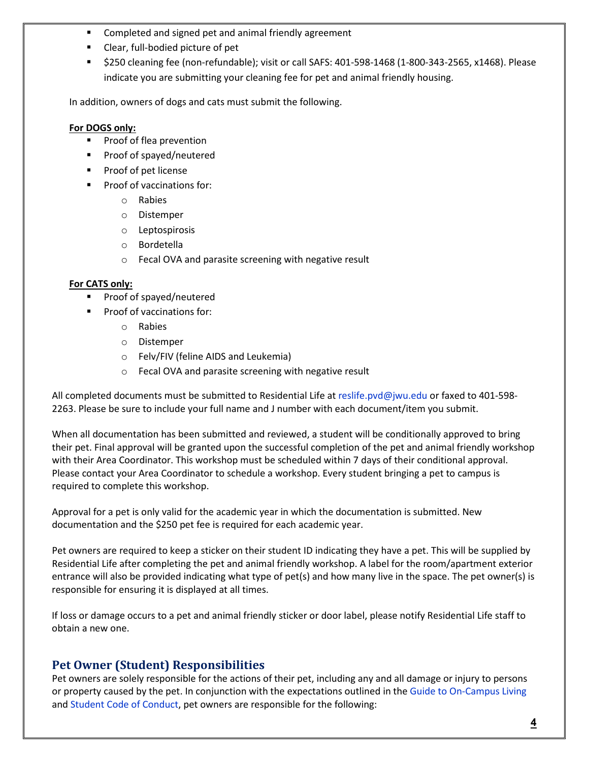- **EXTER** Completed and signed pet and animal friendly agreement
- Clear, full-bodied picture of pet
- \$250 cleaning fee (non-refundable); visit or call SAFS: 401-598-1468 (1-800-343-2565, x1468). Please indicate you are submitting your cleaning fee for pet and animal friendly housing.

In addition, owners of dogs and cats must submit the following.

#### **For DOGS only:**

- **Proof of flea prevention**
- **Proof of spayed/neutered**
- **Proof of pet license**
- Proof of vaccinations for:
	- o Rabies
	- o Distemper
	- o Leptospirosis
	- o Bordetella
	- o Fecal OVA and parasite screening with negative result

### **For CATS only:**

- **Proof of spayed/neutered**
- Proof of vaccinations for:
	- o Rabies
	- o Distemper
	- o Felv/FIV (feline AIDS and Leukemia)
	- o Fecal OVA and parasite screening with negative result

All completed documents must be submitted to Residential Life a[t reslife.pvd@jwu.edu](mailto:reslife.pvd@jwu.edu) or faxed to 401-598- 2263. Please be sure to include your full name and J number with each document/item you submit.

When all documentation has been submitted and reviewed, a student will be conditionally approved to bring their pet. Final approval will be granted upon the successful completion of the pet and animal friendly workshop with their Area Coordinator. This workshop must be scheduled within 7 days of their conditional approval. Please contact your Area Coordinator to schedule a workshop. Every student bringing a pet to campus is required to complete this workshop.

Approval for a pet is only valid for the academic year in which the documentation is submitted. New documentation and the \$250 pet fee is required for each academic year.

Pet owners are required to keep a sticker on their student ID indicating they have a pet. This will be supplied by Residential Life after completing the pet and animal friendly workshop. A label for the room/apartment exterior entrance will also be provided indicating what type of pet(s) and how many live in the space. The pet owner(s) is responsible for ensuring it is displayed at all times.

If loss or damage occurs to a pet and animal friendly sticker or door label, please notify Residential Life staff to obtain a new one.

## **Pet Owner (Student) Responsibilities**

Pet owners are solely responsible for the actions of their pet, including any and all damage or injury to persons or property caused by the pet. In conjunction with the expectations outlined in the [Guide to On-Campus Living](https://link.jwu.edu/) and [Student Code of Conduct,](http://catalog.jwu.edu/handbook/studentaffairs/studentcodeofconduct/) pet owners are responsible for the following: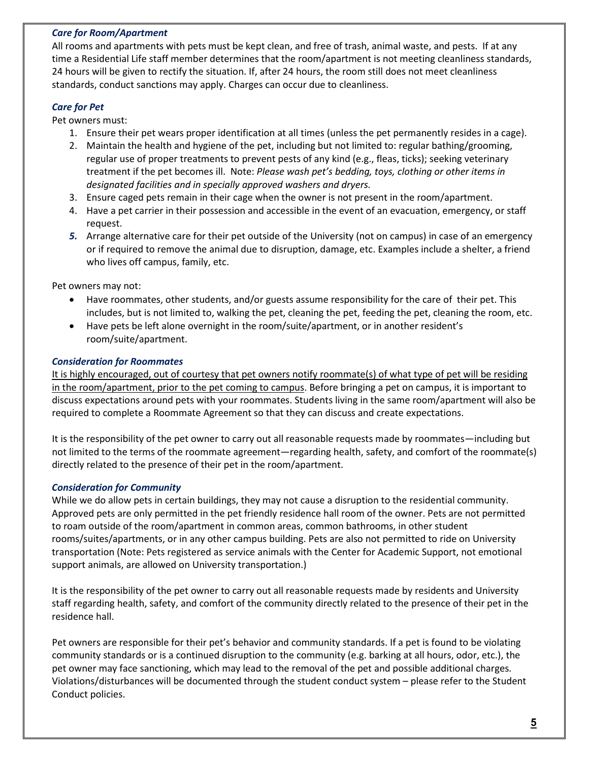#### *Care for Room/Apartment*

All rooms and apartments with pets must be kept clean, and free of trash, animal waste, and pests. If at any time a Residential Life staff member determines that the room/apartment is not meeting cleanliness standards, 24 hours will be given to rectify the situation. If, after 24 hours, the room still does not meet cleanliness standards, conduct sanctions may apply. Charges can occur due to cleanliness.

#### *Care for Pet*

Pet owners must:

- 1. Ensure their pet wears proper identification at all times (unless the pet permanently resides in a cage).
- 2. Maintain the health and hygiene of the pet, including but not limited to: regular bathing/grooming, regular use of proper treatments to prevent pests of any kind (e.g., fleas, ticks); seeking veterinary treatment if the pet becomes ill. Note: *Please wash pet's bedding, toys, clothing or other items in designated facilities and in specially approved washers and dryers.*
- 3. Ensure caged pets remain in their cage when the owner is not present in the room/apartment.
- 4. Have a pet carrier in their possession and accessible in the event of an evacuation, emergency, or staff request.
- *5.* Arrange alternative care for their pet outside of the University (not on campus) in case of an emergency or if required to remove the animal due to disruption, damage, etc. Examples include a shelter, a friend who lives off campus, family, etc.

Pet owners may not:

- Have roommates, other students, and/or guests assume responsibility for the care of their pet. This includes, but is not limited to, walking the pet, cleaning the pet, feeding the pet, cleaning the room, etc.
- Have pets be left alone overnight in the room/suite/apartment, or in another resident's room/suite/apartment.

#### *Consideration for Roommates*

It is highly encouraged, out of courtesy that pet owners notify roommate(s) of what type of pet will be residing in the room/apartment, prior to the pet coming to campus. Before bringing a pet on campus, it is important to discuss expectations around pets with your roommates. Students living in the same room/apartment will also be required to complete a Roommate Agreement so that they can discuss and create expectations.

It is the responsibility of the pet owner to carry out all reasonable requests made by roommates—including but not limited to the terms of the roommate agreement—regarding health, safety, and comfort of the roommate(s) directly related to the presence of their pet in the room/apartment.

#### *Consideration for Community*

While we do allow pets in certain buildings, they may not cause a disruption to the residential community. Approved pets are only permitted in the pet friendly residence hall room of the owner. Pets are not permitted to roam outside of the room/apartment in common areas, common bathrooms, in other student rooms/suites/apartments, or in any other campus building. Pets are also not permitted to ride on University transportation (Note: Pets registered as service animals with the Center for Academic Support, not emotional support animals, are allowed on University transportation.)

It is the responsibility of the pet owner to carry out all reasonable requests made by residents and University staff regarding health, safety, and comfort of the community directly related to the presence of their pet in the residence hall.

Pet owners are responsible for their pet's behavior and community standards. If a pet is found to be violating community standards or is a continued disruption to the community (e.g. barking at all hours, odor, etc.), the pet owner may face sanctioning, which may lead to the removal of the pet and possible additional charges. Violations/disturbances will be documented through the student conduct system – please refer to the Student Conduct policies.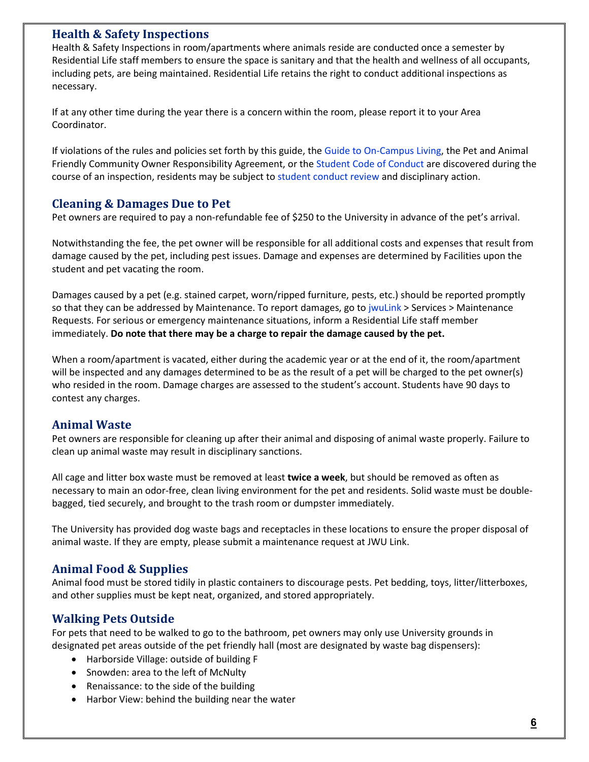## **Health & Safety Inspections**

Health & Safety Inspections in room/apartments where animals reside are conducted once a semester by Residential Life staff members to ensure the space is sanitary and that the health and wellness of all occupants, including pets, are being maintained. Residential Life retains the right to conduct additional inspections as necessary.

If at any other time during the year there is a concern within the room, please report it to your Area Coordinator.

If violations of the rules and policies set forth by this guide, the [Guide to On-Campus Living,](https://link.jwu.edu/) the Pet and Animal Friendly Community Owner Responsibility Agreement, or the [Student Code of Conduct](http://catalog.jwu.edu/handbook/studentaffairs/studentcodeofconduct/) are discovered during the course of an inspection, residents may be subject t[o student conduct review](http://catalog.jwu.edu/handbook/studentaffairs/studentcodeofconduct/conductreviewprocess/) and disciplinary action.

## **Cleaning & Damages Due to Pet**

Pet owners are required to pay a non-refundable fee of \$250 to the University in advance of the pet's arrival.

Notwithstanding the fee, the pet owner will be responsible for all additional costs and expenses that result from damage caused by the pet, including pest issues. Damage and expenses are determined by Facilities upon the student and pet vacating the room.

Damages caused by a pet (e.g. stained carpet, worn/ripped furniture, pests, etc.) should be reported promptly so that they can be addressed by Maintenance. To report damages, go to [jwuLink](https://link.jwu.edu/) > Services > Maintenance Requests. For serious or emergency maintenance situations, inform a Residential Life staff member immediately. **Do note that there may be a charge to repair the damage caused by the pet.**

When a room/apartment is vacated, either during the academic year or at the end of it, the room/apartment will be inspected and any damages determined to be as the result of a pet will be charged to the pet owner(s) who resided in the room. Damage charges are assessed to the student's account. Students have 90 days to contest any charges.

## **Animal Waste**

Pet owners are responsible for cleaning up after their animal and disposing of animal waste properly. Failure to clean up animal waste may result in disciplinary sanctions.

All cage and litter box waste must be removed at least **twice a week**, but should be removed as often as necessary to main an odor-free, clean living environment for the pet and residents. Solid waste must be doublebagged, tied securely, and brought to the trash room or dumpster immediately.

The University has provided dog waste bags and receptacles in these locations to ensure the proper disposal of animal waste. If they are empty, please submit a maintenance request at JWU Link.

## **Animal Food & Supplies**

Animal food must be stored tidily in plastic containers to discourage pests. Pet bedding, toys, litter/litterboxes, and other supplies must be kept neat, organized, and stored appropriately.

## **Walking Pets Outside**

For pets that need to be walked to go to the bathroom, pet owners may only use University grounds in designated pet areas outside of the pet friendly hall (most are designated by waste bag dispensers):

- Harborside Village: outside of building F
- Snowden: area to the left of McNulty
- Renaissance: to the side of the building
- Harbor View: behind the building near the water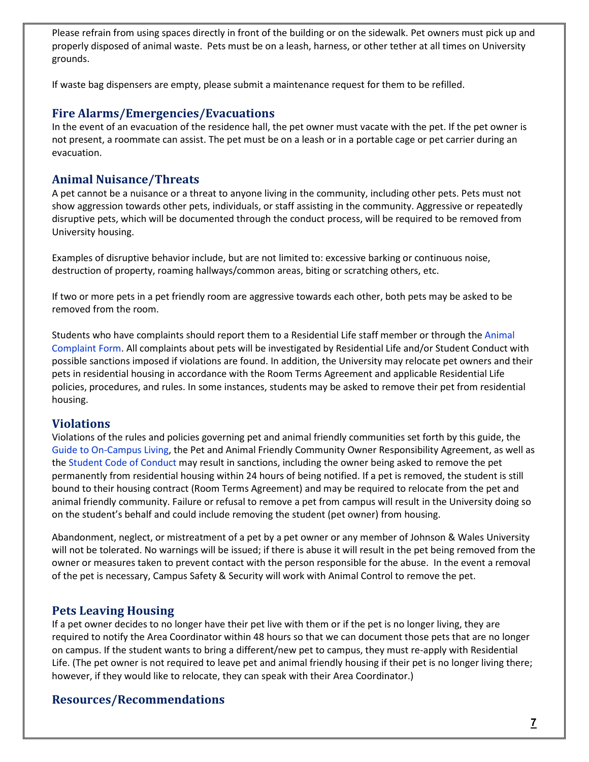Please refrain from using spaces directly in front of the building or on the sidewalk. Pet owners must pick up and properly disposed of animal waste. Pets must be on a leash, harness, or other tether at all times on University grounds.

If waste bag dispensers are empty, please submit a maintenance request for them to be refilled.

## **Fire Alarms/Emergencies/Evacuations**

In the event of an evacuation of the residence hall, the pet owner must vacate with the pet. If the pet owner is not present, a roommate can assist. The pet must be on a leash or in a portable cage or pet carrier during an evacuation.

## **Animal Nuisance/Threats**

A pet cannot be a nuisance or a threat to anyone living in the community, including other pets. Pets must not show aggression towards other pets, individuals, or staff assisting in the community. Aggressive or repeatedly disruptive pets, which will be documented through the conduct process, will be required to be removed from University housing.

Examples of disruptive behavior include, but are not limited to: excessive barking or continuous noise, destruction of property, roaming hallways/common areas, biting or scratching others, etc.

If two or more pets in a pet friendly room are aggressive towards each other, both pets may be asked to be removed from the room.

Students who have complaints should report them to a Residential Life staff member or through the [Animal](https://cm.maxient.com/reportingform.php?JohnsonandWalesUniv&layout_id=15)  [Complaint Form.](https://cm.maxient.com/reportingform.php?JohnsonandWalesUniv&layout_id=15) All complaints about pets will be investigated by Residential Life and/or Student Conduct with possible sanctions imposed if violations are found. In addition, the University may relocate pet owners and their pets in residential housing in accordance with the Room Terms Agreement and applicable Residential Life policies, procedures, and rules. In some instances, students may be asked to remove their pet from residential housing.

## **Violations**

Violations of the rules and policies governing pet and animal friendly communities set forth by this guide, the [Guide to On-Campus Living,](https://link.jwu.edu/) the Pet and Animal Friendly Community Owner Responsibility Agreement, as well as the [Student Code of Conduct](http://catalog.jwu.edu/handbook/studentaffairs/studentcodeofconduct/) may result in sanctions, including the owner being asked to remove the pet permanently from residential housing within 24 hours of being notified. If a pet is removed, the student is still bound to their housing contract (Room Terms Agreement) and may be required to relocate from the pet and animal friendly community. Failure or refusal to remove a pet from campus will result in the University doing so on the student's behalf and could include removing the student (pet owner) from housing.

Abandonment, neglect, or mistreatment of a pet by a pet owner or any member of Johnson & Wales University will not be tolerated. No warnings will be issued; if there is abuse it will result in the pet being removed from the owner or measures taken to prevent contact with the person responsible for the abuse. In the event a removal of the pet is necessary, Campus Safety & Security will work with Animal Control to remove the pet.

## **Pets Leaving Housing**

If a pet owner decides to no longer have their pet live with them or if the pet is no longer living, they are required to notify the Area Coordinator within 48 hours so that we can document those pets that are no longer on campus. If the student wants to bring a different/new pet to campus, they must re-apply with Residential Life. (The pet owner is not required to leave pet and animal friendly housing if their pet is no longer living there; however, if they would like to relocate, they can speak with their Area Coordinator.)

## **Resources/Recommendations**